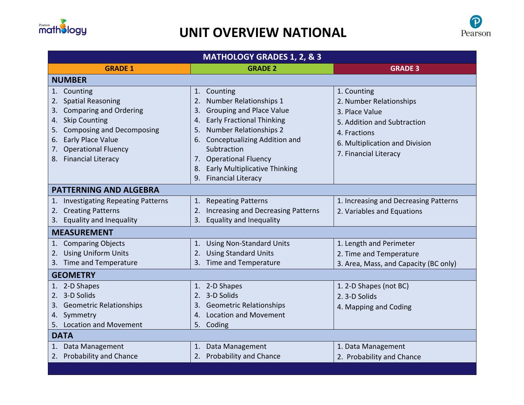

## **UNIT OVERVIEW NATIONAL**



| <b>MATHOLOGY GRADES 1, 2, &amp; 3</b>                                                                                                                                                           |                                                                                                                                                                                                                                                                                                             |                                                                                                                                                                    |  |
|-------------------------------------------------------------------------------------------------------------------------------------------------------------------------------------------------|-------------------------------------------------------------------------------------------------------------------------------------------------------------------------------------------------------------------------------------------------------------------------------------------------------------|--------------------------------------------------------------------------------------------------------------------------------------------------------------------|--|
| <b>GRADE 1</b>                                                                                                                                                                                  | <b>GRADE 2</b>                                                                                                                                                                                                                                                                                              | <b>GRADE 3</b>                                                                                                                                                     |  |
| <b>NUMBER</b>                                                                                                                                                                                   |                                                                                                                                                                                                                                                                                                             |                                                                                                                                                                    |  |
| 1. Counting<br>2. Spatial Reasoning<br>3. Comparing and Ordering<br>4. Skip Counting<br>5. Composing and Decomposing<br>6. Early Place Value<br>7. Operational Fluency<br>8. Financial Literacy | 1. Counting<br><b>Number Relationships 1</b><br>2.<br><b>Grouping and Place Value</b><br>3.<br>4. Early Fractional Thinking<br><b>Number Relationships 2</b><br>5.<br>6. Conceptualizing Addition and<br>Subtraction<br>7. Operational Fluency<br>8. Early Multiplicative Thinking<br>9. Financial Literacy | 1. Counting<br>2. Number Relationships<br>3. Place Value<br>5. Addition and Subtraction<br>4. Fractions<br>6. Multiplication and Division<br>7. Financial Literacy |  |
| <b>PATTERNING AND ALGEBRA</b>                                                                                                                                                                   |                                                                                                                                                                                                                                                                                                             |                                                                                                                                                                    |  |
| 1. Investigating Repeating Patterns<br>2. Creating Patterns<br>3. Equality and Inequality                                                                                                       | 1. Repeating Patterns<br>2. Increasing and Decreasing Patterns<br><b>Equality and Inequality</b><br>3.                                                                                                                                                                                                      | 1. Increasing and Decreasing Patterns<br>2. Variables and Equations                                                                                                |  |
| <b>MEASUREMENT</b>                                                                                                                                                                              |                                                                                                                                                                                                                                                                                                             |                                                                                                                                                                    |  |
| 1. Comparing Objects<br>2. Using Uniform Units<br>3. Time and Temperature                                                                                                                       | 1. Using Non-Standard Units<br>2. Using Standard Units<br>3. Time and Temperature                                                                                                                                                                                                                           | 1. Length and Perimeter<br>2. Time and Temperature<br>3. Area, Mass, and Capacity (BC only)                                                                        |  |
| <b>GEOMETRY</b>                                                                                                                                                                                 |                                                                                                                                                                                                                                                                                                             |                                                                                                                                                                    |  |
| 1. 2-D Shapes<br>2. 3-D Solids<br>3. Geometric Relationships<br>4. Symmetry<br>5. Location and Movement                                                                                         | 1. 2-D Shapes<br>2. 3-D Solids<br>3. Geometric Relationships<br>4. Location and Movement<br>5. Coding                                                                                                                                                                                                       | 1. 2-D Shapes (not BC)<br>2. 3-D Solids<br>4. Mapping and Coding                                                                                                   |  |
| <b>DATA</b>                                                                                                                                                                                     |                                                                                                                                                                                                                                                                                                             |                                                                                                                                                                    |  |
| 1. Data Management<br>2. Probability and Chance                                                                                                                                                 | 1. Data Management<br>2. Probability and Chance                                                                                                                                                                                                                                                             | 1. Data Management<br>2. Probability and Chance                                                                                                                    |  |